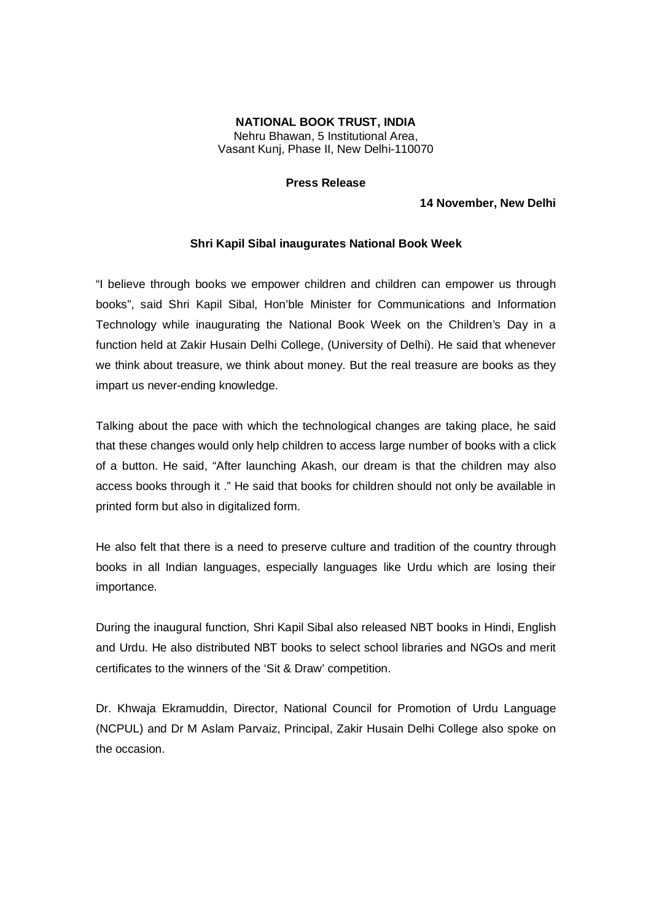## **NATIONAL BOOK TRUST, INDIA** Nehru Bhawan, 5 Institutional Area,

Vasant Kunj, Phase II, New Delhi-110070

## **Press Release**

## **14 November, New Delhi**

## **Shri Kapil Sibal inaugurates National Book Week**

"I believe through books we empower children and children can empower us through books", said Shri Kapil Sibal, Hon'ble Minister for Communications and Information Technology while inaugurating the National Book Week on the Children's Day in a function held at Zakir Husain Delhi College, (University of Delhi). He said that whenever we think about treasure, we think about money. But the real treasure are books as they impart us never-ending knowledge.

Talking about the pace with which the technological changes are taking place, he said that these changes would only help children to access large number of books with a click of a button. He said, "After launching Akash, our dream is that the children may also access books through it ." He said that books for children should not only be available in printed form but also in digitalized form.

He also felt that there is a need to preserve culture and tradition of the country through books in all Indian languages, especially languages like Urdu which are losing their importance.

During the inaugural function, Shri Kapil Sibal also released NBT books in Hindi, English and Urdu. He also distributed NBT books to select school libraries and NGOs and merit certificates to the winners of the 'Sit & Draw' competition.

Dr. Khwaja Ekramuddin, Director, National Council for Promotion of Urdu Language (NCPUL) and Dr M Aslam Parvaiz, Principal, Zakir Husain Delhi College also spoke on the occasion.